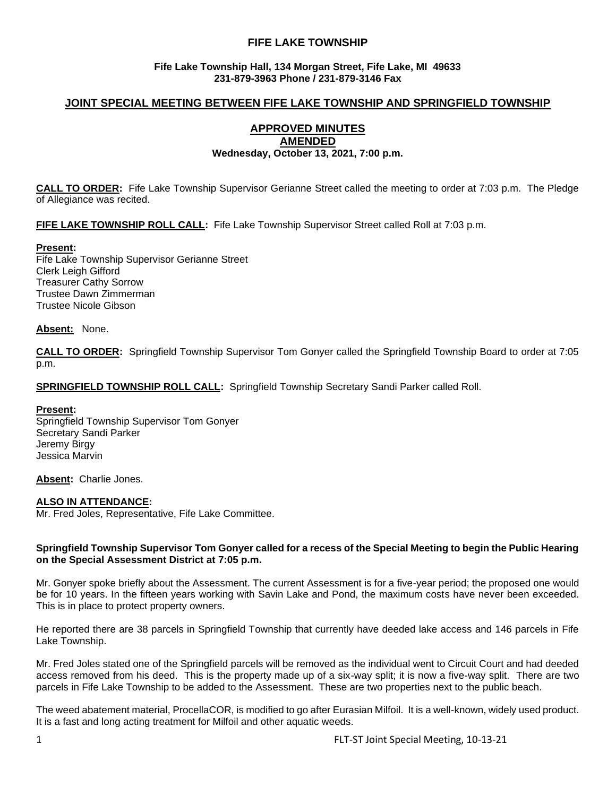# **FIFE LAKE TOWNSHIP**

## **Fife Lake Township Hall, 134 Morgan Street, Fife Lake, MI 49633 231-879-3963 Phone / 231-879-3146 Fax**

# **JOINT SPECIAL MEETING BETWEEN FIFE LAKE TOWNSHIP AND SPRINGFIELD TOWNSHIP**

#### **APPROVED MINUTES AMENDED**

## **Wednesday, October 13, 2021, 7:00 p.m.**

**CALL TO ORDER:** Fife Lake Township Supervisor Gerianne Street called the meeting to order at 7:03 p.m. The Pledge of Allegiance was recited.

**FIFE LAKE TOWNSHIP ROLL CALL:** Fife Lake Township Supervisor Street called Roll at 7:03 p.m.

## **Present:**

Fife Lake Township Supervisor Gerianne Street Clerk Leigh Gifford Treasurer Cathy Sorrow Trustee Dawn Zimmerman Trustee Nicole Gibson

### **Absent:** None.

**CALL TO ORDER:** Springfield Township Supervisor Tom Gonyer called the Springfield Township Board to order at 7:05 p.m.

**SPRINGFIELD TOWNSHIP ROLL CALL:** Springfield Township Secretary Sandi Parker called Roll.

### **Present:**

Springfield Township Supervisor Tom Gonyer Secretary Sandi Parker Jeremy Birgy Jessica Marvin

**Absent:** Charlie Jones.

### **ALSO IN ATTENDANCE:**

Mr. Fred Joles, Representative, Fife Lake Committee.

#### **Springfield Township Supervisor Tom Gonyer called for a recess of the Special Meeting to begin the Public Hearing on the Special Assessment District at 7:05 p.m.**

Mr. Gonyer spoke briefly about the Assessment. The current Assessment is for a five-year period; the proposed one would be for 10 years. In the fifteen years working with Savin Lake and Pond, the maximum costs have never been exceeded. This is in place to protect property owners.

He reported there are 38 parcels in Springfield Township that currently have deeded lake access and 146 parcels in Fife Lake Township.

Mr. Fred Joles stated one of the Springfield parcels will be removed as the individual went to Circuit Court and had deeded access removed from his deed. This is the property made up of a six-way split; it is now a five-way split. There are two parcels in Fife Lake Township to be added to the Assessment. These are two properties next to the public beach.

The weed abatement material, ProcellaCOR, is modified to go after Eurasian Milfoil. It is a well-known, widely used product. It is a fast and long acting treatment for Milfoil and other aquatic weeds.

1 FLT-ST Joint Special Meeting, 10-13-21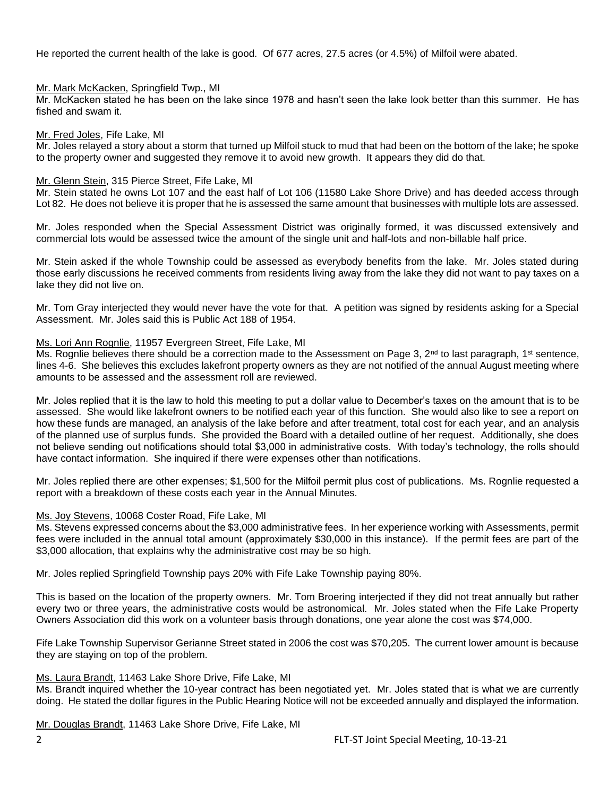He reported the current health of the lake is good. Of 677 acres, 27.5 acres (or 4.5%) of Milfoil were abated.

### Mr. Mark McKacken, Springfield Twp., MI

Mr. McKacken stated he has been on the lake since 1978 and hasn't seen the lake look better than this summer. He has fished and swam it.

### Mr. Fred Joles, Fife Lake, MI

Mr. Joles relayed a story about a storm that turned up Milfoil stuck to mud that had been on the bottom of the lake; he spoke to the property owner and suggested they remove it to avoid new growth. It appears they did do that.

### Mr. Glenn Stein, 315 Pierce Street, Fife Lake, MI

Mr. Stein stated he owns Lot 107 and the east half of Lot 106 (11580 Lake Shore Drive) and has deeded access through Lot 82. He does not believe it is proper that he is assessed the same amount that businesses with multiple lots are assessed.

Mr. Joles responded when the Special Assessment District was originally formed, it was discussed extensively and commercial lots would be assessed twice the amount of the single unit and half-lots and non-billable half price.

Mr. Stein asked if the whole Township could be assessed as everybody benefits from the lake. Mr. Joles stated during those early discussions he received comments from residents living away from the lake they did not want to pay taxes on a lake they did not live on.

Mr. Tom Gray interjected they would never have the vote for that. A petition was signed by residents asking for a Special Assessment. Mr. Joles said this is Public Act 188 of 1954.

## Ms. Lori Ann Rognlie, 11957 Evergreen Street, Fife Lake, MI

Ms. Rognlie believes there should be a correction made to the Assessment on Page 3,  $2^{nd}$  to last paragraph, 1<sup>st</sup> sentence, lines 4-6. She believes this excludes lakefront property owners as they are not notified of the annual August meeting where amounts to be assessed and the assessment roll are reviewed.

Mr. Joles replied that it is the law to hold this meeting to put a dollar value to December's taxes on the amount that is to be assessed. She would like lakefront owners to be notified each year of this function. She would also like to see a report on how these funds are managed, an analysis of the lake before and after treatment, total cost for each year, and an analysis of the planned use of surplus funds. She provided the Board with a detailed outline of her request. Additionally, she does not believe sending out notifications should total \$3,000 in administrative costs. With today's technology, the rolls should have contact information. She inquired if there were expenses other than notifications.

Mr. Joles replied there are other expenses; \$1,500 for the Milfoil permit plus cost of publications. Ms. Rognlie requested a report with a breakdown of these costs each year in the Annual Minutes.

## Ms. Joy Stevens, 10068 Coster Road, Fife Lake, MI

Ms. Stevens expressed concerns about the \$3,000 administrative fees. In her experience working with Assessments, permit fees were included in the annual total amount (approximately \$30,000 in this instance). If the permit fees are part of the \$3,000 allocation, that explains why the administrative cost may be so high.

Mr. Joles replied Springfield Township pays 20% with Fife Lake Township paying 80%.

This is based on the location of the property owners. Mr. Tom Broering interjected if they did not treat annually but rather every two or three years, the administrative costs would be astronomical. Mr. Joles stated when the Fife Lake Property Owners Association did this work on a volunteer basis through donations, one year alone the cost was \$74,000.

Fife Lake Township Supervisor Gerianne Street stated in 2006 the cost was \$70,205. The current lower amount is because they are staying on top of the problem.

### Ms. Laura Brandt, 11463 Lake Shore Drive, Fife Lake, MI

Ms. Brandt inquired whether the 10-year contract has been negotiated yet. Mr. Joles stated that is what we are currently doing. He stated the dollar figures in the Public Hearing Notice will not be exceeded annually and displayed the information.

Mr. Douglas Brandt, 11463 Lake Shore Drive, Fife Lake, MI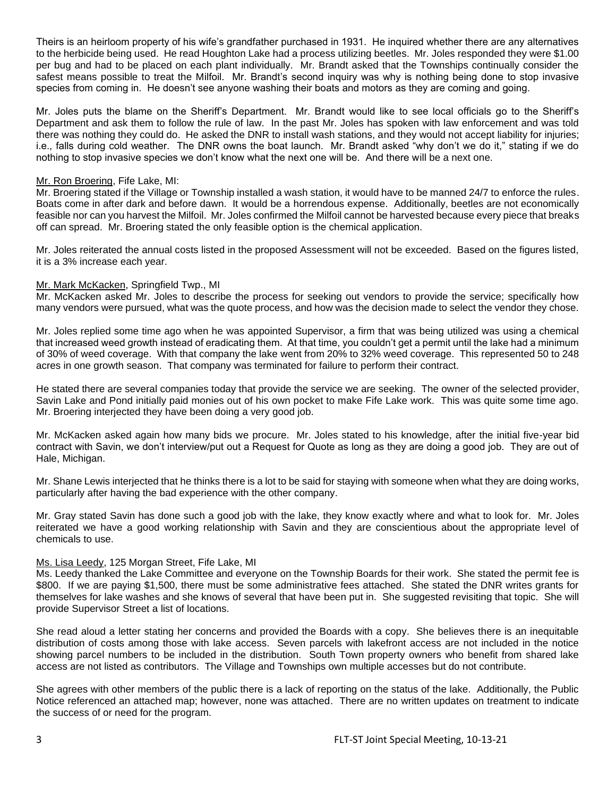Theirs is an heirloom property of his wife's grandfather purchased in 1931. He inquired whether there are any alternatives to the herbicide being used. He read Houghton Lake had a process utilizing beetles. Mr. Joles responded they were \$1.00 per bug and had to be placed on each plant individually. Mr. Brandt asked that the Townships continually consider the safest means possible to treat the Milfoil. Mr. Brandt's second inquiry was why is nothing being done to stop invasive species from coming in. He doesn't see anyone washing their boats and motors as they are coming and going.

Mr. Joles puts the blame on the Sheriff's Department. Mr. Brandt would like to see local officials go to the Sheriff's Department and ask them to follow the rule of law. In the past Mr. Joles has spoken with law enforcement and was told there was nothing they could do. He asked the DNR to install wash stations, and they would not accept liability for injuries; i.e., falls during cold weather. The DNR owns the boat launch. Mr. Brandt asked "why don't we do it," stating if we do nothing to stop invasive species we don't know what the next one will be. And there will be a next one.

## Mr. Ron Broering, Fife Lake, MI:

Mr. Broering stated if the Village or Township installed a wash station, it would have to be manned 24/7 to enforce the rules. Boats come in after dark and before dawn. It would be a horrendous expense. Additionally, beetles are not economically feasible nor can you harvest the Milfoil. Mr. Joles confirmed the Milfoil cannot be harvested because every piece that breaks off can spread. Mr. Broering stated the only feasible option is the chemical application.

Mr. Joles reiterated the annual costs listed in the proposed Assessment will not be exceeded. Based on the figures listed, it is a 3% increase each year.

## Mr. Mark McKacken, Springfield Twp., MI

Mr. McKacken asked Mr. Joles to describe the process for seeking out vendors to provide the service; specifically how many vendors were pursued, what was the quote process, and how was the decision made to select the vendor they chose.

Mr. Joles replied some time ago when he was appointed Supervisor, a firm that was being utilized was using a chemical that increased weed growth instead of eradicating them. At that time, you couldn't get a permit until the lake had a minimum of 30% of weed coverage. With that company the lake went from 20% to 32% weed coverage. This represented 50 to 248 acres in one growth season. That company was terminated for failure to perform their contract.

He stated there are several companies today that provide the service we are seeking. The owner of the selected provider, Savin Lake and Pond initially paid monies out of his own pocket to make Fife Lake work. This was quite some time ago. Mr. Broering interjected they have been doing a very good job.

Mr. McKacken asked again how many bids we procure. Mr. Joles stated to his knowledge, after the initial five-year bid contract with Savin, we don't interview/put out a Request for Quote as long as they are doing a good job. They are out of Hale, Michigan.

Mr. Shane Lewis interjected that he thinks there is a lot to be said for staying with someone when what they are doing works, particularly after having the bad experience with the other company.

Mr. Gray stated Savin has done such a good job with the lake, they know exactly where and what to look for. Mr. Joles reiterated we have a good working relationship with Savin and they are conscientious about the appropriate level of chemicals to use.

### Ms. Lisa Leedy, 125 Morgan Street, Fife Lake, MI

Ms. Leedy thanked the Lake Committee and everyone on the Township Boards for their work. She stated the permit fee is \$800. If we are paying \$1,500, there must be some administrative fees attached. She stated the DNR writes grants for themselves for lake washes and she knows of several that have been put in. She suggested revisiting that topic. She will provide Supervisor Street a list of locations.

She read aloud a letter stating her concerns and provided the Boards with a copy. She believes there is an inequitable distribution of costs among those with lake access. Seven parcels with lakefront access are not included in the notice showing parcel numbers to be included in the distribution. South Town property owners who benefit from shared lake access are not listed as contributors. The Village and Townships own multiple accesses but do not contribute.

She agrees with other members of the public there is a lack of reporting on the status of the lake. Additionally, the Public Notice referenced an attached map; however, none was attached. There are no written updates on treatment to indicate the success of or need for the program.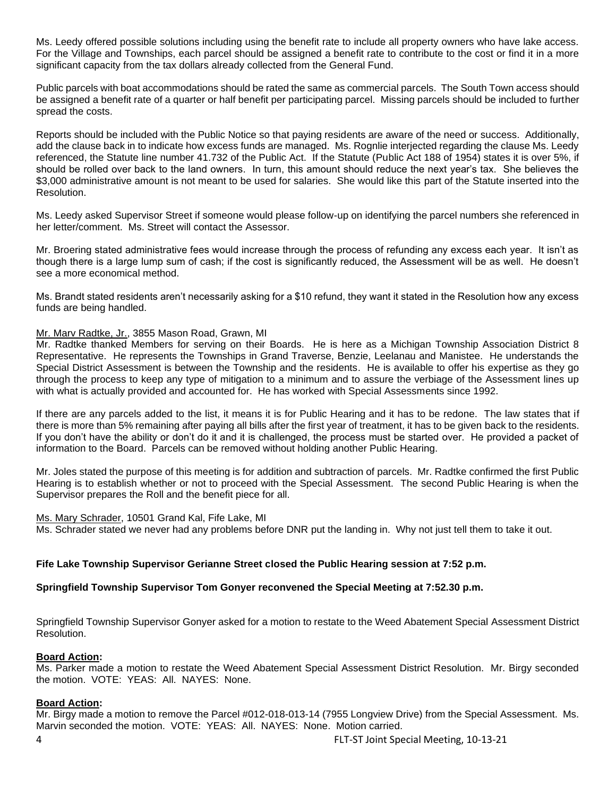Ms. Leedy offered possible solutions including using the benefit rate to include all property owners who have lake access. For the Village and Townships, each parcel should be assigned a benefit rate to contribute to the cost or find it in a more significant capacity from the tax dollars already collected from the General Fund.

Public parcels with boat accommodations should be rated the same as commercial parcels. The South Town access should be assigned a benefit rate of a quarter or half benefit per participating parcel. Missing parcels should be included to further spread the costs.

Reports should be included with the Public Notice so that paying residents are aware of the need or success. Additionally, add the clause back in to indicate how excess funds are managed. Ms. Rognlie interjected regarding the clause Ms. Leedy referenced, the Statute line number 41.732 of the Public Act. If the Statute (Public Act 188 of 1954) states it is over 5%, if should be rolled over back to the land owners. In turn, this amount should reduce the next year's tax. She believes the \$3,000 administrative amount is not meant to be used for salaries. She would like this part of the Statute inserted into the Resolution.

Ms. Leedy asked Supervisor Street if someone would please follow-up on identifying the parcel numbers she referenced in her letter/comment. Ms. Street will contact the Assessor.

Mr. Broering stated administrative fees would increase through the process of refunding any excess each year. It isn't as though there is a large lump sum of cash; if the cost is significantly reduced, the Assessment will be as well. He doesn't see a more economical method.

Ms. Brandt stated residents aren't necessarily asking for a \$10 refund, they want it stated in the Resolution how any excess funds are being handled.

## Mr. Marv Radtke, Jr., 3855 Mason Road, Grawn, MI

Mr. Radtke thanked Members for serving on their Boards. He is here as a Michigan Township Association District 8 Representative. He represents the Townships in Grand Traverse, Benzie, Leelanau and Manistee. He understands the Special District Assessment is between the Township and the residents. He is available to offer his expertise as they go through the process to keep any type of mitigation to a minimum and to assure the verbiage of the Assessment lines up with what is actually provided and accounted for. He has worked with Special Assessments since 1992.

If there are any parcels added to the list, it means it is for Public Hearing and it has to be redone. The law states that if there is more than 5% remaining after paying all bills after the first year of treatment, it has to be given back to the residents. If you don't have the ability or don't do it and it is challenged, the process must be started over. He provided a packet of information to the Board. Parcels can be removed without holding another Public Hearing.

Mr. Joles stated the purpose of this meeting is for addition and subtraction of parcels. Mr. Radtke confirmed the first Public Hearing is to establish whether or not to proceed with the Special Assessment. The second Public Hearing is when the Supervisor prepares the Roll and the benefit piece for all.

Ms. Mary Schrader, 10501 Grand Kal, Fife Lake, MI Ms. Schrader stated we never had any problems before DNR put the landing in. Why not just tell them to take it out.

### **Fife Lake Township Supervisor Gerianne Street closed the Public Hearing session at 7:52 p.m.**

## **Springfield Township Supervisor Tom Gonyer reconvened the Special Meeting at 7:52.30 p.m.**

Springfield Township Supervisor Gonyer asked for a motion to restate to the Weed Abatement Special Assessment District Resolution.

### **Board Action:**

Ms. Parker made a motion to restate the Weed Abatement Special Assessment District Resolution. Mr. Birgy seconded the motion. VOTE: YEAS: All. NAYES: None.

## **Board Action:**

Mr. Birgy made a motion to remove the Parcel #012-018-013-14 (7955 Longview Drive) from the Special Assessment. Ms. Marvin seconded the motion. VOTE: YEAS: All. NAYES: None. Motion carried.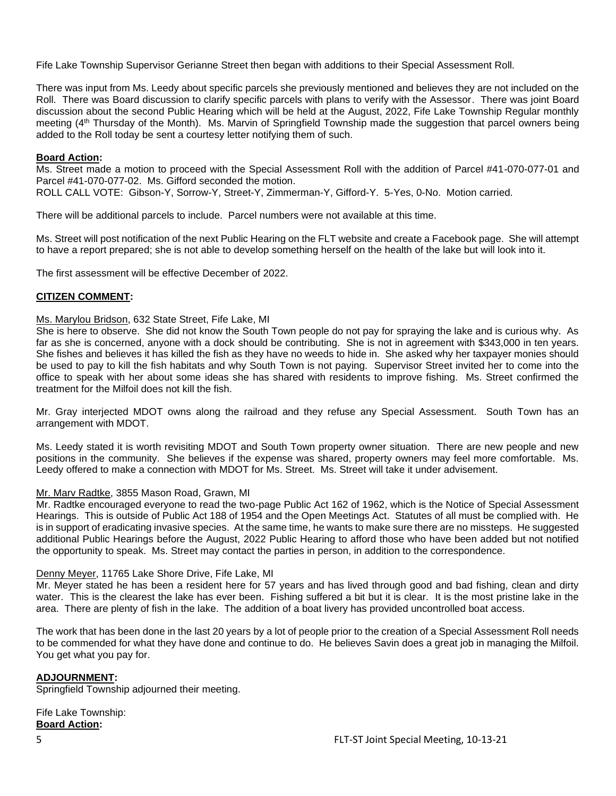Fife Lake Township Supervisor Gerianne Street then began with additions to their Special Assessment Roll.

There was input from Ms. Leedy about specific parcels she previously mentioned and believes they are not included on the Roll. There was Board discussion to clarify specific parcels with plans to verify with the Assessor. There was joint Board discussion about the second Public Hearing which will be held at the August, 2022, Fife Lake Township Regular monthly meeting (4th Thursday of the Month). Ms. Marvin of Springfield Township made the suggestion that parcel owners being added to the Roll today be sent a courtesy letter notifying them of such.

## **Board Action:**

Ms. Street made a motion to proceed with the Special Assessment Roll with the addition of Parcel #41-070-077-01 and Parcel #41-070-077-02. Ms. Gifford seconded the motion.

ROLL CALL VOTE: Gibson-Y, Sorrow-Y, Street-Y, Zimmerman-Y, Gifford-Y. 5-Yes, 0-No. Motion carried.

There will be additional parcels to include. Parcel numbers were not available at this time.

Ms. Street will post notification of the next Public Hearing on the FLT website and create a Facebook page. She will attempt to have a report prepared; she is not able to develop something herself on the health of the lake but will look into it.

The first assessment will be effective December of 2022.

### **CITIZEN COMMENT:**

Ms. Marylou Bridson, 632 State Street, Fife Lake, MI

She is here to observe. She did not know the South Town people do not pay for spraying the lake and is curious why. As far as she is concerned, anyone with a dock should be contributing. She is not in agreement with \$343,000 in ten years. She fishes and believes it has killed the fish as they have no weeds to hide in. She asked why her taxpayer monies should be used to pay to kill the fish habitats and why South Town is not paying. Supervisor Street invited her to come into the office to speak with her about some ideas she has shared with residents to improve fishing. Ms. Street confirmed the treatment for the Milfoil does not kill the fish.

Mr. Gray interjected MDOT owns along the railroad and they refuse any Special Assessment. South Town has an arrangement with MDOT.

Ms. Leedy stated it is worth revisiting MDOT and South Town property owner situation. There are new people and new positions in the community. She believes if the expense was shared, property owners may feel more comfortable. Ms. Leedy offered to make a connection with MDOT for Ms. Street. Ms. Street will take it under advisement.

### Mr. Marv Radtke, 3855 Mason Road, Grawn, MI

Mr. Radtke encouraged everyone to read the two-page Public Act 162 of 1962, which is the Notice of Special Assessment Hearings. This is outside of Public Act 188 of 1954 and the Open Meetings Act. Statutes of all must be complied with. He is in support of eradicating invasive species. At the same time, he wants to make sure there are no missteps. He suggested additional Public Hearings before the August, 2022 Public Hearing to afford those who have been added but not notified the opportunity to speak. Ms. Street may contact the parties in person, in addition to the correspondence.

### Denny Meyer, 11765 Lake Shore Drive, Fife Lake, MI

Mr. Meyer stated he has been a resident here for 57 years and has lived through good and bad fishing, clean and dirty water. This is the clearest the lake has ever been. Fishing suffered a bit but it is clear. It is the most pristine lake in the area. There are plenty of fish in the lake. The addition of a boat livery has provided uncontrolled boat access.

The work that has been done in the last 20 years by a lot of people prior to the creation of a Special Assessment Roll needs to be commended for what they have done and continue to do. He believes Savin does a great job in managing the Milfoil. You get what you pay for.

### **ADJOURNMENT:**

Springfield Township adjourned their meeting.

Fife Lake Township: **Board Action:**